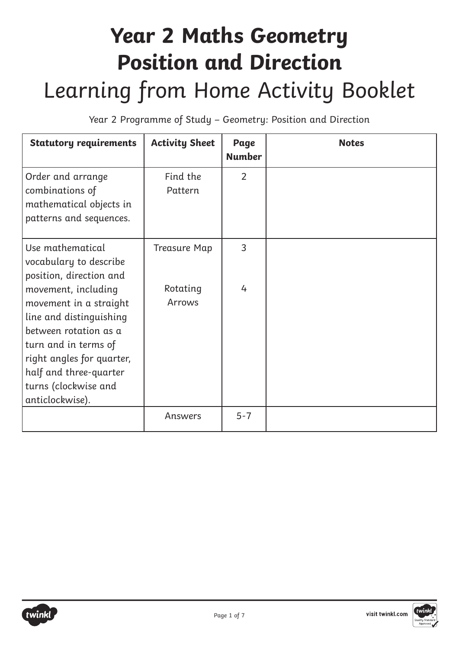## **Year 2 Maths Geometry Position and Direction** Learning from Home Activity Booklet

Year 2 Programme of Study – Geometry: Position and Direction

| <b>Statutory requirements</b>                                                                                                                                                                                               | <b>Activity Sheet</b> | Page<br><b>Number</b> | <b>Notes</b> |
|-----------------------------------------------------------------------------------------------------------------------------------------------------------------------------------------------------------------------------|-----------------------|-----------------------|--------------|
| Order and arrange<br>combinations of<br>mathematical objects in<br>patterns and sequences.                                                                                                                                  | Find the<br>Pattern   | $\overline{2}$        |              |
| Use mathematical<br>vocabulary to describe<br>position, direction and                                                                                                                                                       | <b>Treasure Map</b>   | 3                     |              |
| movement, including<br>movement in a straight<br>line and distinguishing<br>between rotation as a<br>turn and in terms of<br>right angles for quarter,<br>half and three-quarter<br>turns (clockwise and<br>anticlockwise). | Rotating<br>Arrows    | 4                     |              |
|                                                                                                                                                                                                                             | Answers               | $5 - 7$               |              |

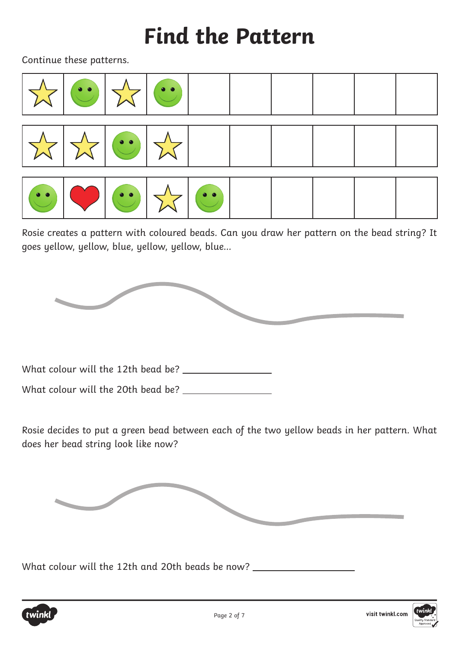### **Find the Pattern**

Continue these patterns.



Rosie creates a pattern with coloured beads. Can you draw her pattern on the bead string? It goes yellow, yellow, blue, yellow, yellow, blue…



What colour will the 12th bead be?

What colour will the 20th bead be?

Rosie decides to put a green bead between each of the two yellow beads in her pattern. What does her bead string look like now?



What colour will the 12th and 20th beads be now?

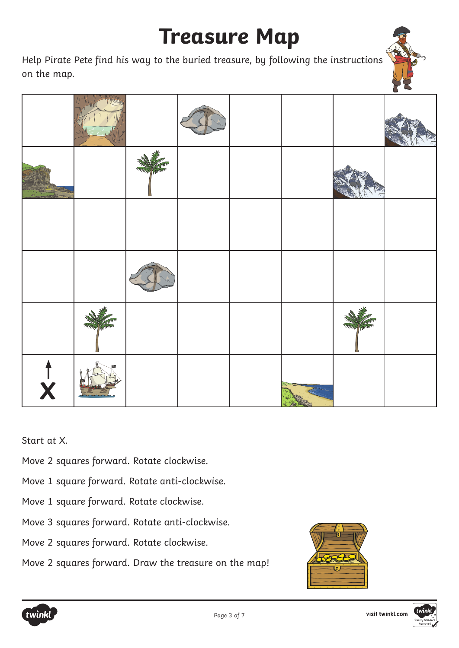### **Treasure Map**

Help Pirate Pete find his way to the buried treasure, by following the instructions on the map.



Start at X.

- Move 2 squares forward. Rotate clockwise.
- Move 1 square forward. Rotate anti-clockwise.
- Move 1 square forward. Rotate clockwise.
- Move 3 squares forward. Rotate anti-clockwise.
- Move 2 squares forward. Rotate clockwise.
- Move 2 squares forward. Draw the treasure on the map!





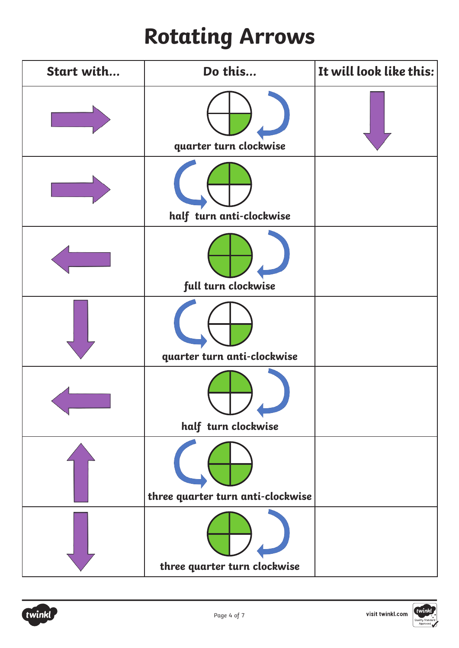# **Rotating Arrows**

| Start with | Do this                           | It will look like this: |
|------------|-----------------------------------|-------------------------|
|            | quarter turn clockwise            |                         |
|            | half turn anti-clockwise          |                         |
|            | full turn clockwise               |                         |
|            | quarter turn anti-clockwise       |                         |
|            | half turn clockwise               |                         |
|            | three quarter turn anti-clockwise |                         |
|            | three quarter turn clockwise      |                         |

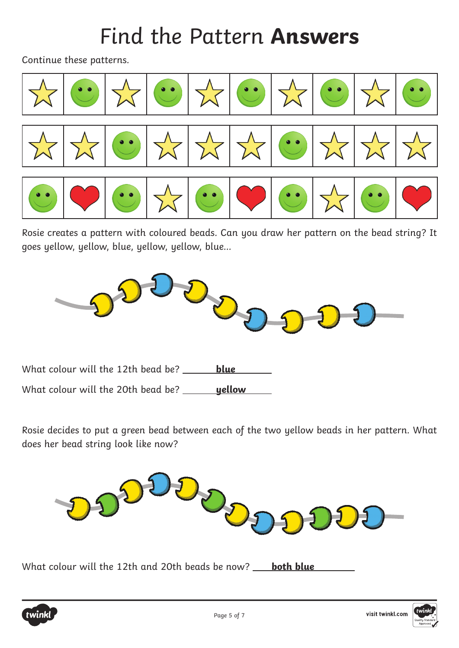### Find the Pattern **Answers**

Continue these patterns.



Rosie creates a pattern with coloured beads. Can you draw her pattern on the bead string? It goes yellow, yellow, blue, yellow, yellow, blue…



What colour will the 12th bead be? \_\_\_\_\_\_ **blue** 

What colour will the 20th bead be? \_\_\_\_\_\_\_**yellow** 

Rosie decides to put a green bead between each of the two yellow beads in her pattern. What does her bead string look like now?



What colour will the 12th and 20th beads be now? **both blue** 

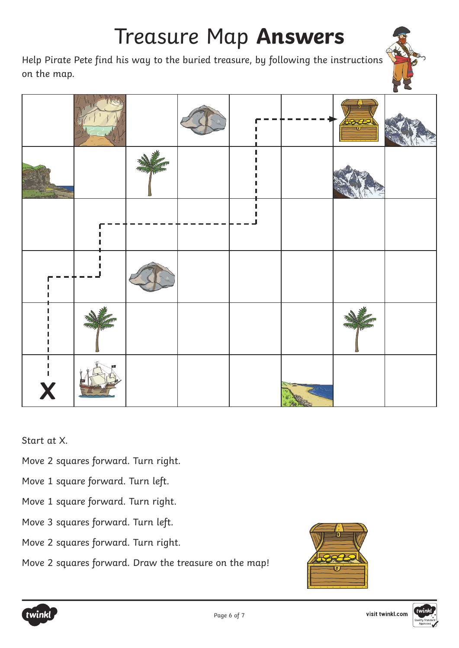### Treasure Map **Answers**

Help Pirate Pete find his way to the buried treasure, by following the instructions on the map.



Start at X.

- Move 2 squares forward. Turn right.
- Move 1 square forward. Turn left.
- Move 1 square forward. Turn right.
- Move 3 squares forward. Turn left.
- Move 2 squares forward. Turn right.
- Move 2 squares forward. Draw the treasure on the map!